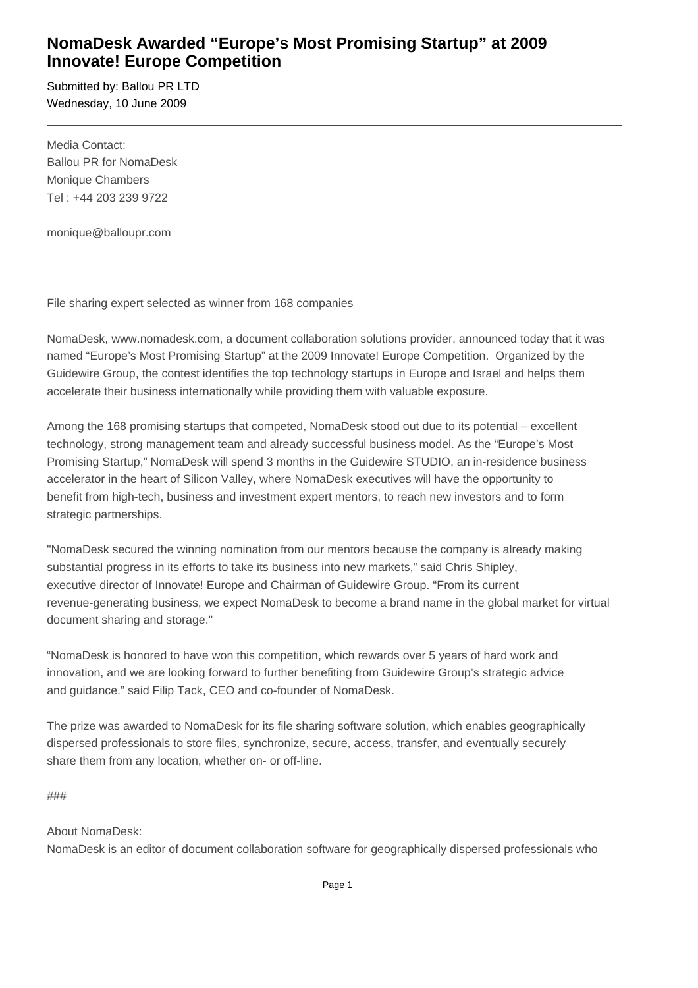## **NomaDesk Awarded "Europe's Most Promising Startup" at 2009 Innovate! Europe Competition**

Submitted by: Ballou PR LTD Wednesday, 10 June 2009

Media Contact: Ballou PR for NomaDesk Monique Chambers Tel : +44 203 239 9722

monique@balloupr.com

File sharing expert selected as winner from 168 companies

NomaDesk, www.nomadesk.com, a document collaboration solutions provider, announced today that it was named "Europe's Most Promising Startup" at the 2009 Innovate! Europe Competition. Organized by the Guidewire Group, the contest identifies the top technology startups in Europe and Israel and helps them accelerate their business internationally while providing them with valuable exposure.

Among the 168 promising startups that competed, NomaDesk stood out due to its potential – excellent technology, strong management team and already successful business model. As the "Europe's Most Promising Startup," NomaDesk will spend 3 months in the Guidewire STUDIO, an in-residence business accelerator in the heart of Silicon Valley, where NomaDesk executives will have the opportunity to benefit from high-tech, business and investment expert mentors, to reach new investors and to form strategic partnerships.

"NomaDesk secured the winning nomination from our mentors because the company is already making substantial progress in its efforts to take its business into new markets," said Chris Shipley, executive director of Innovate! Europe and Chairman of Guidewire Group. "From its current revenue-generating business, we expect NomaDesk to become a brand name in the global market for virtual document sharing and storage."

"NomaDesk is honored to have won this competition, which rewards over 5 years of hard work and innovation, and we are looking forward to further benefiting from Guidewire Group's strategic advice and guidance." said Filip Tack, CEO and co-founder of NomaDesk.

The prize was awarded to NomaDesk for its file sharing software solution, which enables geographically dispersed professionals to store files, synchronize, secure, access, transfer, and eventually securely share them from any location, whether on- or off-line.

###

## About NomaDesk:

NomaDesk is an editor of document collaboration software for geographically dispersed professionals who